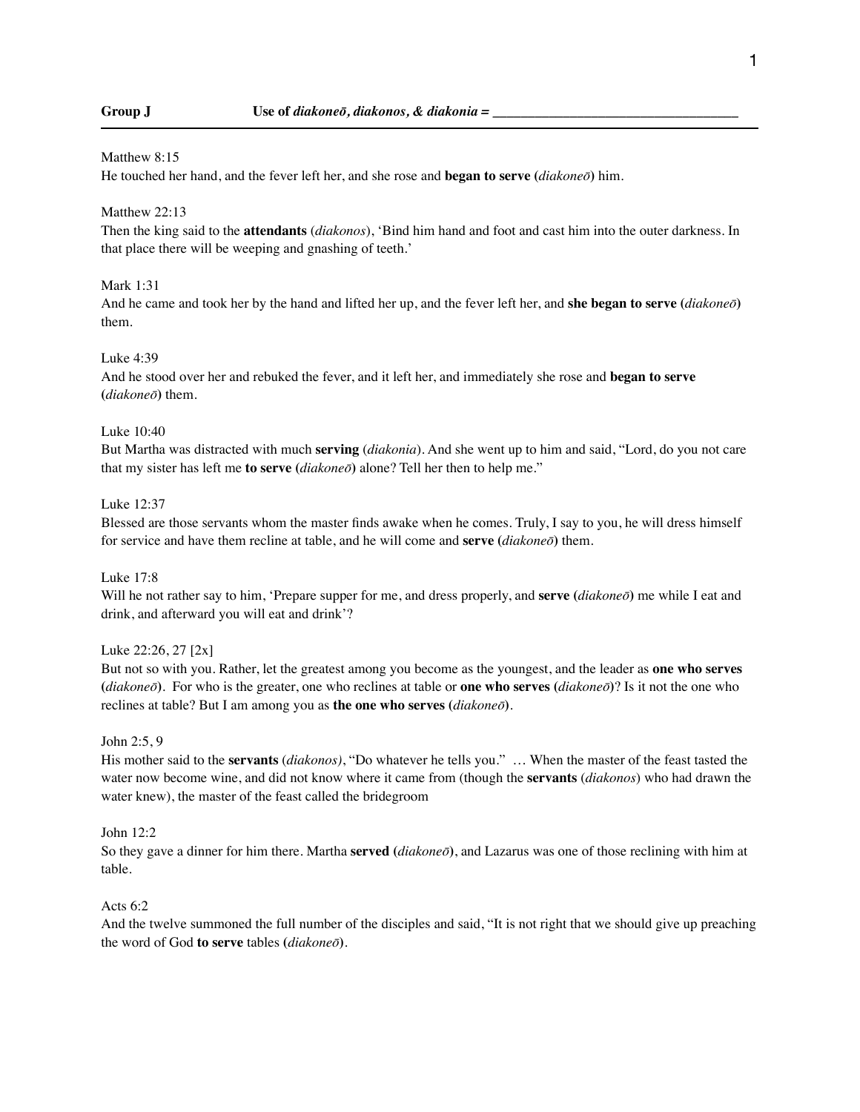#### Matthew 8:15

He touched her hand, and the fever left her, and she rose and **began to serve (***diakoneō***)** him.

#### Matthew 22:13

Then the king said to the **attendants** (*diakonos*), 'Bind him hand and foot and cast him into the outer darkness. In that place there will be weeping and gnashing of teeth.'

### Mark 1:31

And he came and took her by the hand and lifted her up, and the fever left her, and **she began to serve (***diakoneō***)** them.

#### Luke 4:39

And he stood over her and rebuked the fever, and it left her, and immediately she rose and **began to serve (***diakoneō***)** them.

# Luke 10:40

But Martha was distracted with much **serving** (*diakonia*). And she went up to him and said, "Lord, do you not care that my sister has left me **to serve (***diakoneō***)** alone? Tell her then to help me."

#### Luke 12:37

Blessed are those servants whom the master finds awake when he comes. Truly, I say to you, he will dress himself for service and have them recline at table, and he will come and **serve (***diakoneō***)** them.

# Luke 17:8

Will he not rather say to him, 'Prepare supper for me, and dress properly, and **serve (***diakoneō***)** me while I eat and drink, and afterward you will eat and drink'?

# Luke 22:26, 27 [2x]

But not so with you. Rather, let the greatest among you become as the youngest, and the leader as **one who serves (***diakoneō***)**. For who is the greater, one who reclines at table or **one who serves (***diakoneō***)**? Is it not the one who reclines at table? But I am among you as **the one who serves (***diakoneō***)**.

# John 2:5, 9

His mother said to the **servants** (*diakonos)*, "Do whatever he tells you." … When the master of the feast tasted the water now become wine, and did not know where it came from (though the **servants** (*diakonos*) who had drawn the water knew), the master of the feast called the bridegroom

#### John 12:2

So they gave a dinner for him there. Martha **served (***diakoneō***)**, and Lazarus was one of those reclining with him at table.

# Acts 6:2

And the twelve summoned the full number of the disciples and said, "It is not right that we should give up preaching the word of God **to serve** tables **(***diakoneō***)**.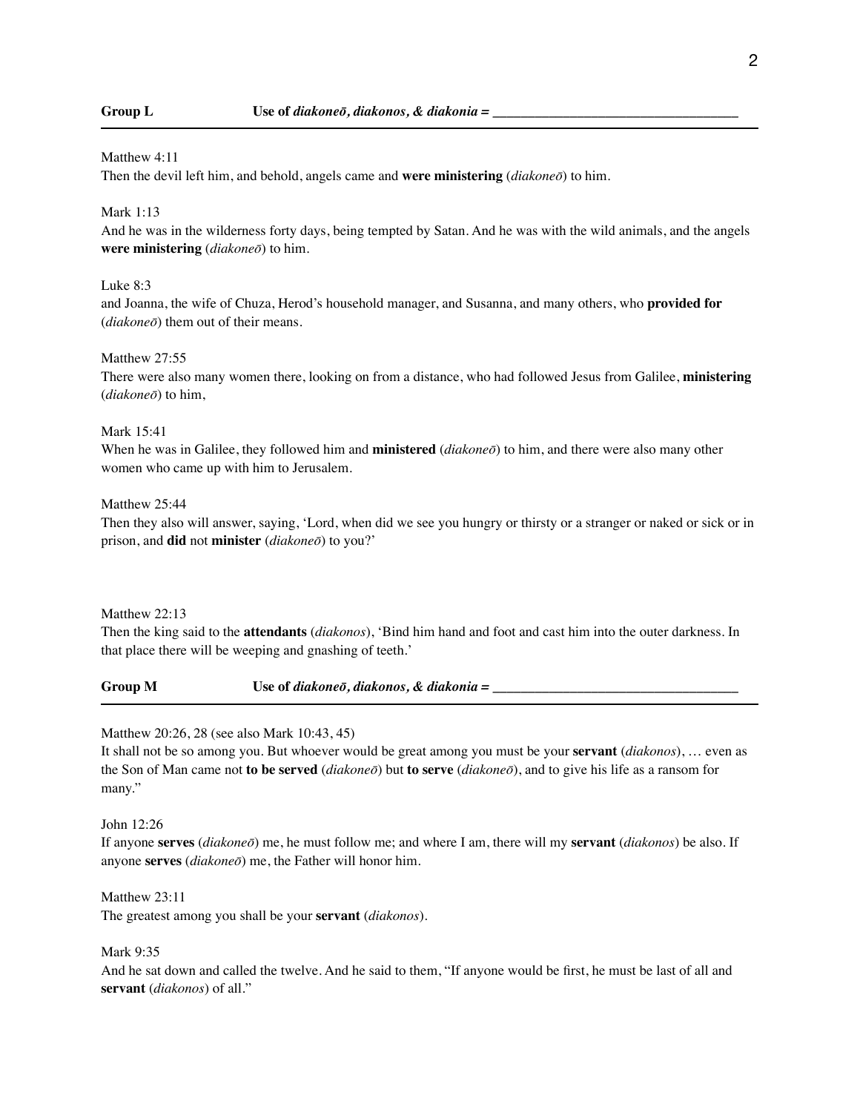#### Matthew 4:11

Then the devil left him, and behold, angels came and **were ministering** (*diakoneō*) to him.

# Mark 1:13

And he was in the wilderness forty days, being tempted by Satan. And he was with the wild animals, and the angels **were ministering** (*diakoneō*) to him.

# Luke 8:3

and Joanna, the wife of Chuza, Herod's household manager, and Susanna, and many others, who **provided for** (*diakoneō*) them out of their means.

#### Matthew 27:55

There were also many women there, looking on from a distance, who had followed Jesus from Galilee, **ministering** (*diakoneō*) to him,

# Mark 15:41

When he was in Galilee, they followed him and **ministered** (*diakoneō*) to him, and there were also many other women who came up with him to Jerusalem.

#### Matthew 25:44

Then they also will answer, saying, 'Lord, when did we see you hungry or thirsty or a stranger or naked or sick or in prison, and **did** not **minister** (*diakoneō*) to you?'

#### Matthew 22:13

Then the king said to the **attendants** (*diakonos*), 'Bind him hand and foot and cast him into the outer darkness. In that place there will be weeping and gnashing of teeth.'

Group M Use of *diakone*<sup> $\bar{o}$ </sup>*, diakonos*, & *diakonia* =

# Matthew 20:26, 28 (see also Mark 10:43, 45)

It shall not be so among you. But whoever would be great among you must be your **servant** (*diakonos*), … even as the Son of Man came not **to be served** (*diakoneō*) but **to serve** (*diakoneō*), and to give his life as a ransom for many."

#### John 12:26

If anyone **serves** (*diakoneō*) me, he must follow me; and where I am, there will my **servant** (*diakonos*) be also. If anyone **serves** (*diakoneō*) me, the Father will honor him.

# Matthew 23:11

The greatest among you shall be your **servant** (*diakonos*).

#### Mark 9:35

And he sat down and called the twelve. And he said to them, "If anyone would be first, he must be last of all and **servant** (*diakonos*) of all."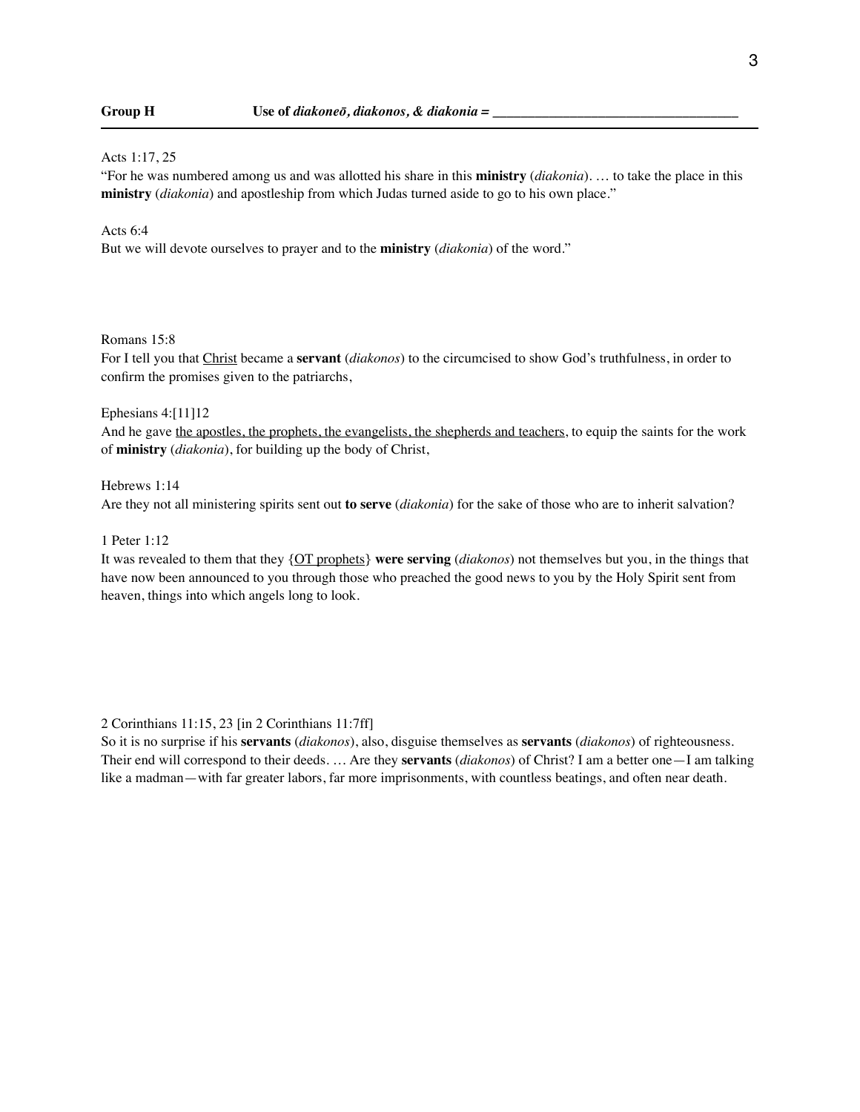#### Acts 1:17, 25

"For he was numbered among us and was allotted his share in this **ministry** (*diakonia*). … to take the place in this **ministry** (*diakonia*) and apostleship from which Judas turned aside to go to his own place."

# Acts 6:4

But we will devote ourselves to prayer and to the **ministry** (*diakonia*) of the word."

# Romans 15:8

For I tell you that Christ became a **servant** (*diakonos*) to the circumcised to show God's truthfulness, in order to confirm the promises given to the patriarchs,

#### Ephesians 4:[11]12

And he gave the apostles, the prophets, the evangelists, the shepherds and teachers, to equip the saints for the work of **ministry** (*diakonia*), for building up the body of Christ,

Hebrews 1:14 Are they not all ministering spirits sent out **to serve** (*diakonia*) for the sake of those who are to inherit salvation?

#### 1 Peter 1:12

It was revealed to them that they {OT prophets} **were serving** (*diakonos*) not themselves but you, in the things that have now been announced to you through those who preached the good news to you by the Holy Spirit sent from heaven, things into which angels long to look.

2 Corinthians 11:15, 23 [in 2 Corinthians 11:7ff]

So it is no surprise if his **servants** (*diakonos*), also, disguise themselves as **servants** (*diakonos*) of righteousness. Their end will correspond to their deeds. … Are they **servants** (*diakonos*) of Christ? I am a better one—I am talking like a madman—with far greater labors, far more imprisonments, with countless beatings, and often near death.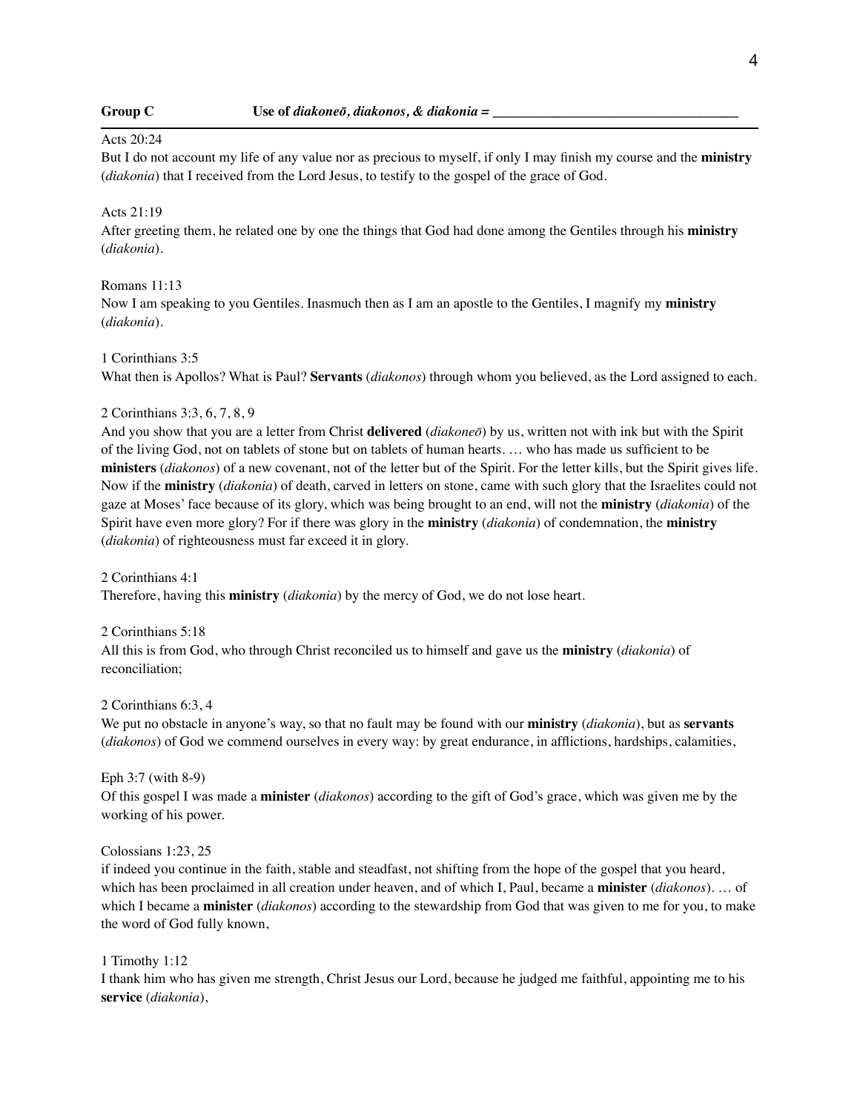# Acts 20:24

But I do not account my life of any value nor as precious to myself, if only I may finish my course and the **ministry** (*diakonia*) that I received from the Lord Jesus, to testify to the gospel of the grace of God.

# Acts 21:19

After greeting them, he related one by one the things that God had done among the Gentiles through his **ministry** (*diakonia*).

Romans 11:13

Now I am speaking to you Gentiles. Inasmuch then as I am an apostle to the Gentiles, I magnify my **ministry** (*diakonia*).

### 1 Corinthians 3:5

What then is Apollos? What is Paul? **Servants** (*diakonos*) through whom you believed, as the Lord assigned to each.

## 2 Corinthians 3:3, 6, 7, 8, 9

And you show that you are a letter from Christ **delivered** (*diakoneō*) by us, written not with ink but with the Spirit of the living God, not on tablets of stone but on tablets of human hearts. … who has made us sufficient to be **ministers** (*diakonos*) of a new covenant, not of the letter but of the Spirit. For the letter kills, but the Spirit gives life. Now if the **ministry** (*diakonia*) of death, carved in letters on stone, came with such glory that the Israelites could not gaze at Moses' face because of its glory, which was being brought to an end, will not the **ministry** (*diakonia*) of the Spirit have even more glory? For if there was glory in the **ministry** (*diakonia*) of condemnation, the **ministry** (*diakonia*) of righteousness must far exceed it in glory.

2 Corinthians 4:1 Therefore, having this **ministry** (*diakonia*) by the mercy of God, we do not lose heart.

2 Corinthians 5:18 All this is from God, who through Christ reconciled us to himself and gave us the **ministry** (*diakonia*) of reconciliation;

2 Corinthians 6:3, 4

We put no obstacle in anyone's way, so that no fault may be found with our **ministry** (*diakonia*), but as **servants** (*diakonos*) of God we commend ourselves in every way: by great endurance, in afflictions, hardships, calamities,

Eph 3:7 (with 8-9) Of this gospel I was made a **minister** (*diakonos*) according to the gift of God's grace, which was given me by the working of his power.

Colossians 1:23, 25

if indeed you continue in the faith, stable and steadfast, not shifting from the hope of the gospel that you heard, which has been proclaimed in all creation under heaven, and of which I, Paul, became a **minister** (*diakonos*). … of which I became a **minister** (*diakonos*) according to the stewardship from God that was given to me for you, to make the word of God fully known,

### 1 Timothy 1:12

I thank him who has given me strength, Christ Jesus our Lord, because he judged me faithful, appointing me to his **service** (*diakonia*),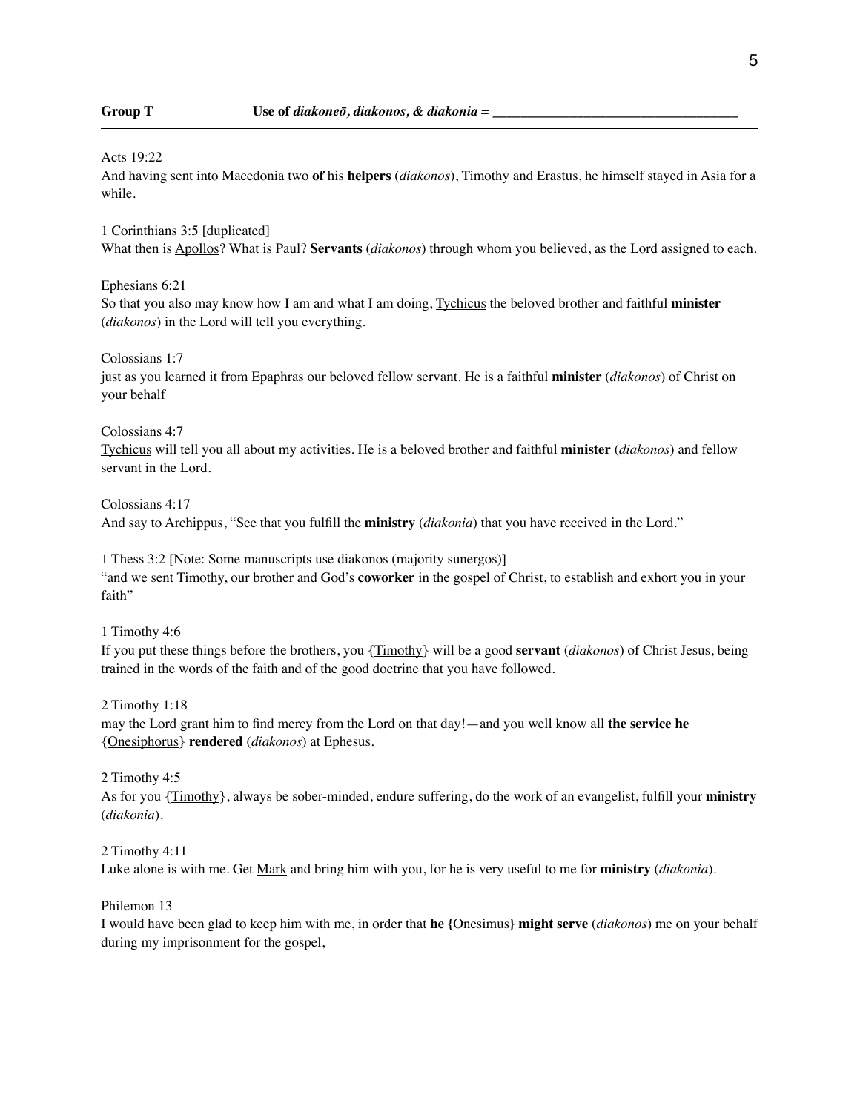#### Acts 19:22

And having sent into Macedonia two **of** his **helpers** (*diakonos*), Timothy and Erastus, he himself stayed in Asia for a while.

1 Corinthians 3:5 [duplicated]

What then is Apollos? What is Paul? **Servants** (*diakonos*) through whom you believed, as the Lord assigned to each.

Ephesians 6:21

So that you also may know how I am and what I am doing, Tychicus the beloved brother and faithful **minister** (*diakonos*) in the Lord will tell you everything.

Colossians 1:7

just as you learned it from Epaphras our beloved fellow servant. He is a faithful **minister** (*diakonos*) of Christ on your behalf

Colossians 4:7

Tychicus will tell you all about my activities. He is a beloved brother and faithful **minister** (*diakonos*) and fellow servant in the Lord.

Colossians 4:17

And say to Archippus, "See that you fulfill the **ministry** (*diakonia*) that you have received in the Lord."

1 Thess 3:2 [Note: Some manuscripts use diakonos (majority sunergos)] "and we sent Timothy, our brother and God's **coworker** in the gospel of Christ, to establish and exhort you in your faith"

1 Timothy 4:6

If you put these things before the brothers, you {Timothy} will be a good **servant** (*diakonos*) of Christ Jesus, being trained in the words of the faith and of the good doctrine that you have followed.

2 Timothy 1:18

may the Lord grant him to find mercy from the Lord on that day!—and you well know all **the service he** {Onesiphorus} **rendered** (*diakonos*) at Ephesus.

2 Timothy 4:5

As for you {Timothy}, always be sober-minded, endure suffering, do the work of an evangelist, fulfill your **ministry** (*diakonia*).

2 Timothy 4:11 Luke alone is with me. Get Mark and bring him with you, for he is very useful to me for **ministry** (*diakonia*).

Philemon 13

I would have been glad to keep him with me, in order that **he {**Onesimus**} might serve** (*diakonos*) me on your behalf during my imprisonment for the gospel,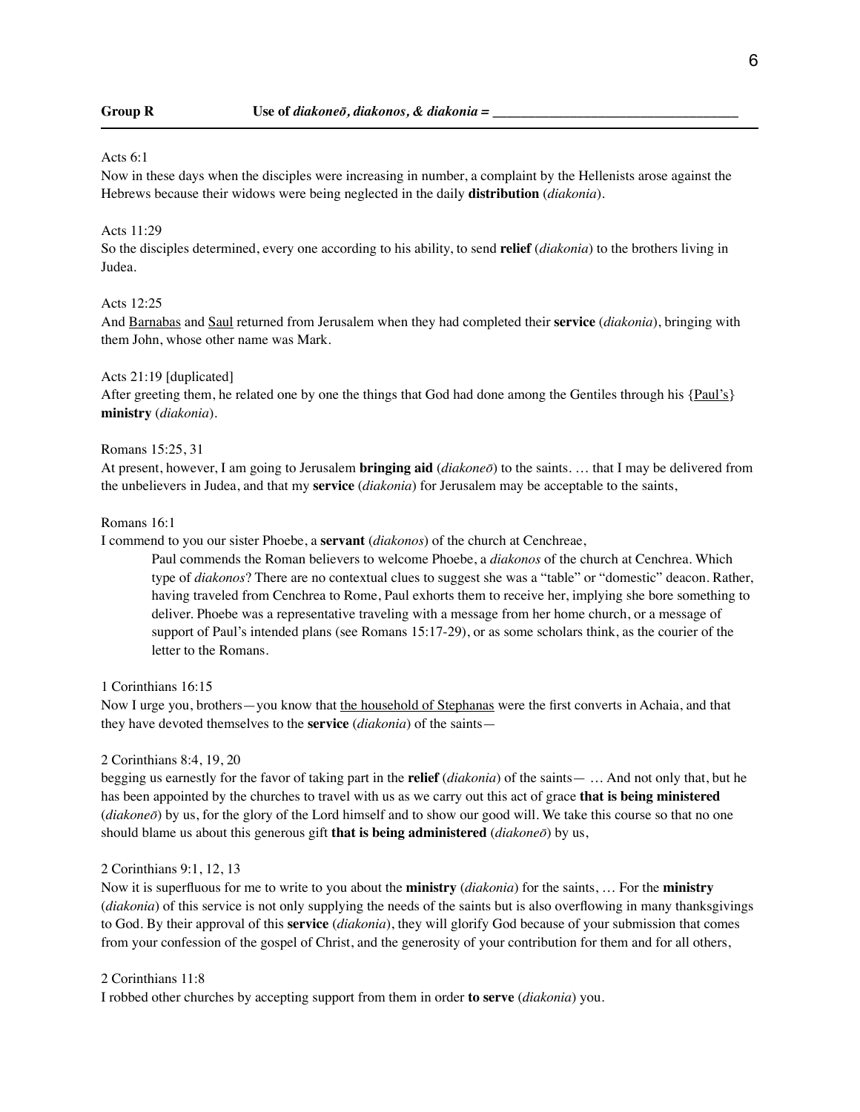#### Acts 6:1

Now in these days when the disciples were increasing in number, a complaint by the Hellenists arose against the Hebrews because their widows were being neglected in the daily **distribution** (*diakonia*).

# Acts 11:29

So the disciples determined, every one according to his ability, to send **relief** (*diakonia*) to the brothers living in Judea.

### Acts 12:25

And Barnabas and Saul returned from Jerusalem when they had completed their **service** (*diakonia*), bringing with them John, whose other name was Mark.

# Acts 21:19 [duplicated]

After greeting them, he related one by one the things that God had done among the Gentiles through his {Paul's} **ministry** (*diakonia*).

## Romans 15:25, 31

At present, however, I am going to Jerusalem **bringing aid** (*diakoneō*) to the saints. … that I may be delivered from the unbelievers in Judea, and that my **service** (*diakonia*) for Jerusalem may be acceptable to the saints,

#### Romans 16:1

I commend to you our sister Phoebe, a **servant** (*diakonos*) of the church at Cenchreae,

Paul commends the Roman believers to welcome Phoebe, a *diakonos* of the church at Cenchrea. Which type of *diakonos*? There are no contextual clues to suggest she was a "table" or "domestic" deacon. Rather, having traveled from Cenchrea to Rome, Paul exhorts them to receive her, implying she bore something to deliver. Phoebe was a representative traveling with a message from her home church, or a message of support of Paul's intended plans (see Romans 15:17-29), or as some scholars think, as the courier of the letter to the Romans.

1 Corinthians 16:15

Now I urge you, brothers—you know that the household of Stephanas were the first converts in Achaia, and that they have devoted themselves to the **service** (*diakonia*) of the saints—

#### 2 Corinthians 8:4, 19, 20

begging us earnestly for the favor of taking part in the **relief** (*diakonia*) of the saints— … And not only that, but he has been appointed by the churches to travel with us as we carry out this act of grace **that is being ministered** (*diakoneō*) by us, for the glory of the Lord himself and to show our good will. We take this course so that no one should blame us about this generous gift **that is being administered** (*diakoneō*) by us,

#### 2 Corinthians 9:1, 12, 13

Now it is superfluous for me to write to you about the **ministry** (*diakonia*) for the saints, … For the **ministry** (*diakonia*) of this service is not only supplying the needs of the saints but is also overflowing in many thanksgivings to God. By their approval of this **service** (*diakonia*), they will glorify God because of your submission that comes from your confession of the gospel of Christ, and the generosity of your contribution for them and for all others,

#### 2 Corinthians 11:8

I robbed other churches by accepting support from them in order **to serve** (*diakonia*) you.